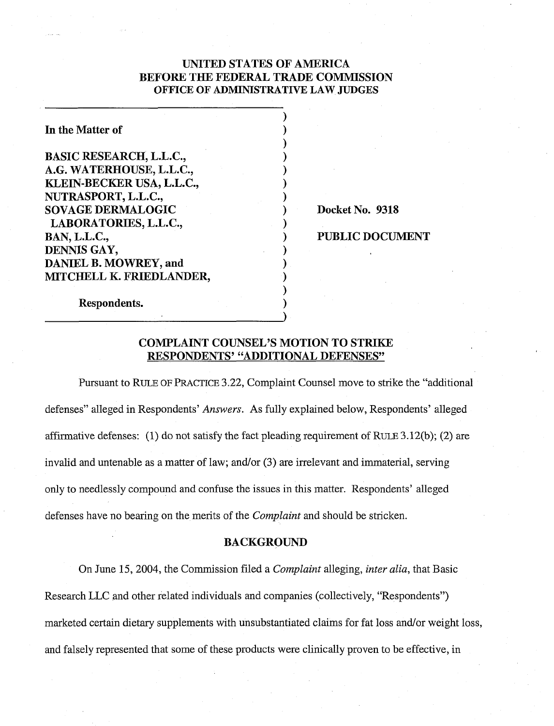# UNITED STATES OF AMERICA BEFORE THE FEDERAL TRADE COMMISSION **OFFICE OF ADMINISTRATIVE LAW JUDGES**

| In the Matter of               |  |
|--------------------------------|--|
| <b>BASIC RESEARCH, L.L.C.,</b> |  |
| A.G. WATERHOUSE, L.L.C.,       |  |
| KLEIN-BECKER USA, L.L.C.,      |  |
| NUTRASPORT, L.L.C.,            |  |
| <b>SOVAGE DERMALOGIC</b>       |  |
| LABORATORIES, L.L.C.,          |  |
| <b>BAN, L.L.C.,</b>            |  |
| DENNIS GAY,                    |  |
| DANIEL B. MOWREY, and          |  |
| MITCHELL K. FRIEDLANDER,       |  |
|                                |  |
| Respondents.                   |  |

Docket No. 9318

### PUBLIC DOCUMENT

### COMPLAINT COUNSEL'S MOTION TO STRIKE RESPONDENTS' "ADDITIONAL DEFENSES"

Pursuant to RULE OF PRACTICE 3.22, Complaint Counsel move to strike the "additional defenses" alleged in Respondents' Answers. As fully explained below, Respondents' alleged affirmative defenses: (1) do not satisfy the fact pleading requirement of RULE  $3.12(b)$ ; (2) are invalid and untenable as a matter of law; and/or (3) are irrelevant and immaterial, serving only to needlessly compound and confuse the issues in this matter. Respondents' alleged defenses have no bearing on the merits of the Complaint and should be stricken.

### BACKGROUND

On June 15, 2004, the Commission filed a *Complaint* alleging, *inter alia*, that Basic Research LLC and other related individuals and companies (collectively, "Respondents") marketed certain dietary supplements with unsubstantiated claims for fat loss and/or weight loss, and falsely represented that some of these products were clinically proven to be effective, in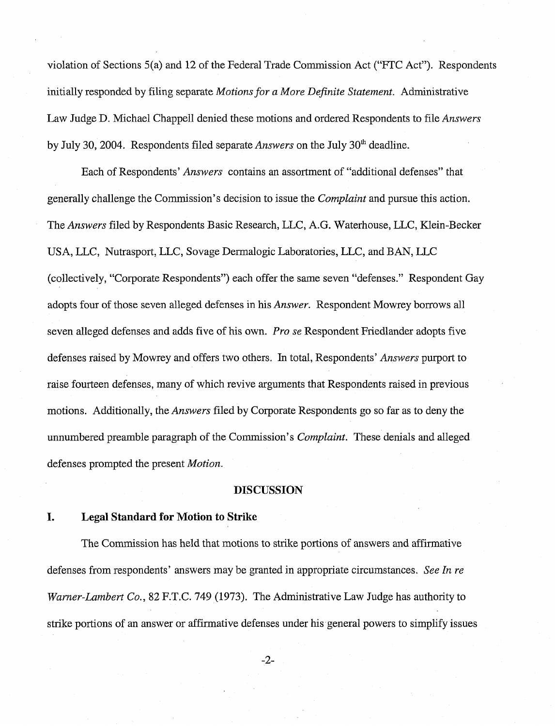violation of Sections 5(a) and 12 of the Federal Trade Commission Act ("FTC Act"). Respondents initially responded by filing separate *Motions for a More Definite Statement.* Administrative Law Judge D. Michael Chappell denied these motions and ordered Respondents to file *Answers*  by July 30, 2004. Respondents filed separate *Answers* on the July 30<sup>th</sup> deadline.

Each of Respondents' *Answers* contains an assortment of "additional defenses" that generally challenge the Commission's decision to issue the *Complaint* and pursue this action. The *Answers* filed by Respondents Basic Research, LLC, A.G. Waterhouse, LLC, Klein-Becker USA, LLC, Nutrasport, LLC, Sovage Dennalogic Laboratories, LLC, and BAN, LLC (collectively, "Corporate Respondents") each offer the same seven "defenses." Respondent Gay adopts four of those seven alleged defenses in his *Answer.* Respondent Mowrey borrows all seven alleged defenses and adds five of his own. *Pro se* Respondent Friedlander adopts five defenses raised by Mowrey and offers two others. In total, Respondents' *Answers* purport to raise fourteen defenses, many of which revive arguments that Respondents raised in previous motions. Additionally, the *Answers* filed by Corporate Respondents go so far as to deny the unnumbered preamble paragraph of the Commission's *Complaint.* These denials and alleged defenses prompted the present *Motion.* 

#### **DISCUSSION**

#### **I. Legal Standard for Motion to Strike**

The Commission has held that motions to strike portions of answers and affirmative defenses from respondents' answers may be granted in appropriate circumstances. *See In re Warner-Lambert Co., 82 F.T.C. 749 (1973). The Administrative Law Judge has authority to* strike portions of an answer or affirmative defenses under his general powers to simplify issues

 $-2-$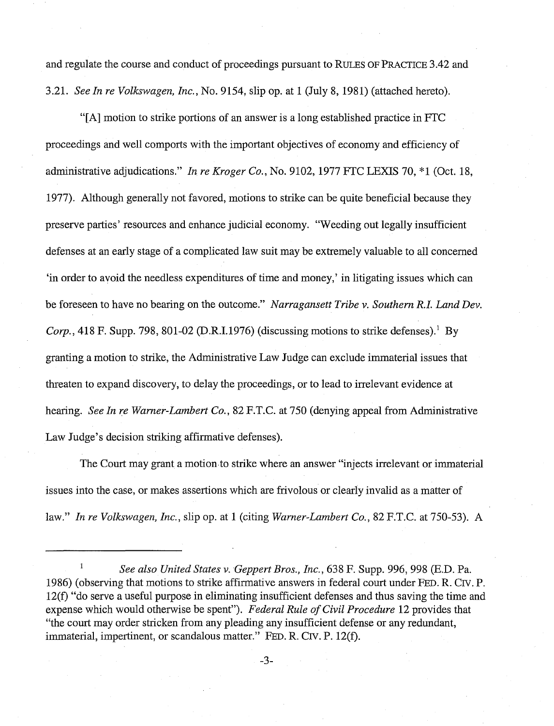and regulate the course and conduct of proceedings pursuant to RULES OF PRACTICE 3.42 and 3.21. See In re Volkswagen, Inc., No. 9154, slip op. at 1 (July 8, 1981) (attached hereto).

"[A] motion to strike portions of an answer is a long established practice in FTC proceedings and well comports with the important objectives of economy and efficiency of administrative adjudications." In re Kroger Co., No. 9102, 1977 FTC LEXIS 70, \*1 (Oct. 18, 1977). Although generally not favored, motions to strike can be quite beneficial because they preserve parties' resources and enhance judicial economy. "Weeding out legally insufficient defenses at an early stage of a complicated law suit may be extremely valuable to all concerned 'in order to avoid the needless expenditures of time and money,' in litigating issues which can be foreseen to have no bearing on the outcome." Narragansett Tribe v. Southern R.I. Land Dev. Corp., 418 F. Supp. 798, 801-02 (D.R.I.1976) (discussing motions to strike defenses).<sup>1</sup> By granting a motion to strike, the Administrative Law Judge can exclude immaterial issues that threaten to expand discovery, to delay the proceedings, or to lead to irrelevant evidence at hearing. See In re Warner-Lambert Co., 82 F.T.C. at 750 (denying appeal from Administrative Law Judge's decision striking affirmative defenses).

The Court may grant a motion to strike where an answer "injects irrelevant or immaterial issues into the case, or makes assertions which are frivolous or clearly invalid as a matter of law." In re Volkswagen, Inc., slip op. at 1 (citing Warner-Lambert Co., 82 F.T.C. at 750-53). A

See also United States v. Geppert Bros., Inc., 638 F. Supp. 996, 998 (E.D. Pa. 1986) (observing that motions to strike affirmative answers in federal court under FED. R. CIV. P. 12(f) "do serve a useful purpose in eliminating insufficient defenses and thus saving the time and expense which would otherwise be spent"). Federal Rule of Civil Procedure 12 provides that "the court may order stricken from any pleading any insufficient defense or any redundant, immaterial, impertinent, or scandalous matter." FED. R. CIV. P. 12(f).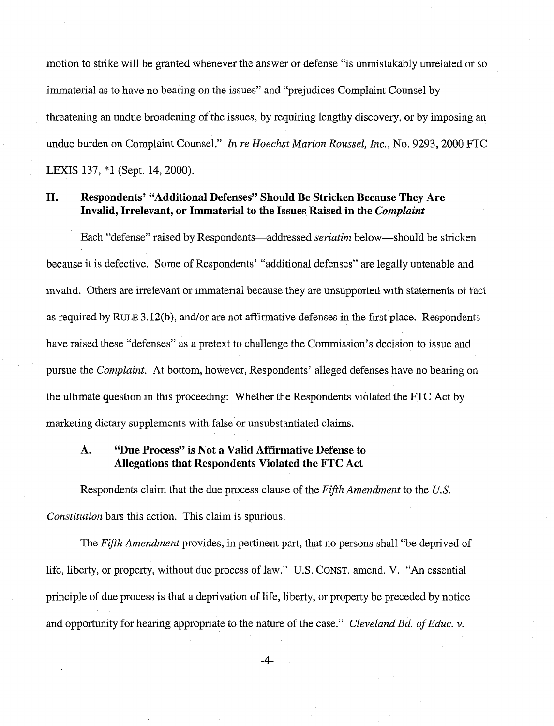motion to strike will be granted whenever the answer or defense "is unmistakably unrelated or so immaterial as to have no bearing on the issues" and "prejudices Complaint Counsel by threatening an undue broadening of the issues, by requiring lengthy discovery, or by imposing an undue burden on Complaint Counsel." *In re Hoechst Marion Roussel, Inc.,* No. 9293,2000 FTC LEXIS 137, \*1 (Sept. 14, 2000).

## **11. Respondents' "Additional Defenses" Should Be Stricken Because They Are Invalid, Irrelevant, or Immaterial to the Issues Raised in the Complaint**

Each "defense" raised by Respondents-addressed *seriatim* below-should be stricken because it is defective. Some of Respondents' "additional defenses" are legally untenable and invalid. Others are irrelevant or immaterial because they are unsupported with statements of fact as required by RULE 3.12(b), and/or are not affirmative defenses in the first place. Respondents have raised these "defenses" as a pretext to challenge the Commission's decision to issue and pursue the *Complaint.* At bottom, however, Respondents' alleged defenses have no bearing on the ultimate question in this proceeding: Whether the Respondents violated the FTC Act by marketing dietary supplements with false or unsubstantiated claims.

# **A. "Due Process" is Not a Valid Affirmative Defense to Allegations that Respondents Violated the FTC Act**

Respondents claim that the due process clause of the *Fifth Amendment* to the *U.S. Constitution* bars this action. This claim is spurious.

The *Fifh Amendment* provides, in pertinent part, that no persons shall "be deprived of life, liberty, or property, without due process of law." U.S. CONST. amend. V. "An essential principle of due process is that a deprivation of life, liberty, or property be preceded by notice and opportunity for hearing appropriate to the nature of the case." *Cleveland* Bd. of *Educ. v.* 

 $-4-$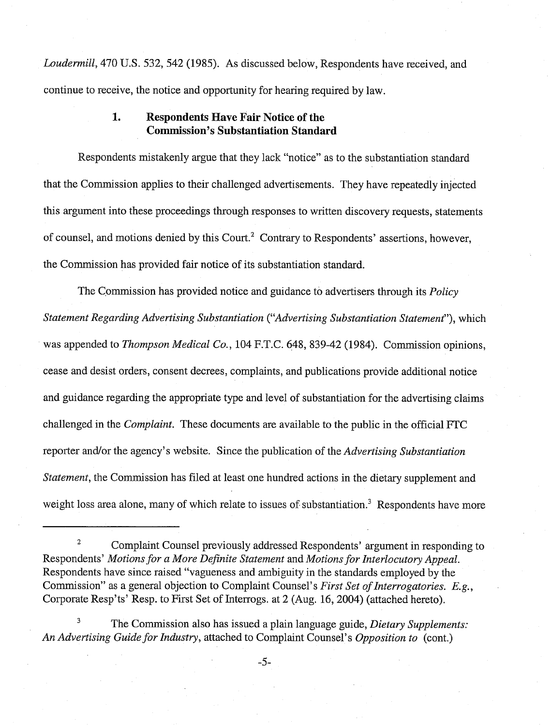Loudermill, 470 U.S. 532, 542 (1985). As discussed below, Respondents have received, and continue to receive, the notice and opportunity for hearing required by law

# **1. Respondents Have Fair Notice of the Commission's Substantiation Standard**

Respondents mistakenly argue that they lack "notice" as to the substantiation standard that the Commission applies to their challenged advertisements. They have repeatedly injected this argument into these proceedings through responses to written discovery requests, statements of counsel, and motions denied by this Court.<sup>2</sup> Contrary to Respondents' assertions, however, the Commission has provided fair notice of its substantiation standard.

The Commission has provided notice and guidance to advertisers through its *Policy* Statement Regarding Advertising Substantiation ("Advertising Substantiation Statement"), which was appended to *Thompson Medical Co.*, 104 F.T.C. 648, 839-42 (1984). Commission opinions, cease and desist orders, consent decrees, complaints, and publications provide additional notice and guidance regarding the appropriate type and level of substantiation for the advertising claims challenged in the Complaint. These documents are available to the public in the official FTC reporter and/or the agency's website. Since the publication of the Advertising Substantiation Statement, the Commission has filed at least one hundred actions in the dietary supplement and weight loss area alone, many of which relate to issues of substantiation.<sup>3</sup> Respondents have more

<sup>2</sup>Complaint Counsel previously addressed Respondents' argument in responding to Respondents' Motions for a More Definite Statement and Motions for Interlocutory Appeal. Respondents have since raised "vagueness and ambiguity in the standards employed by the Commission" as a general objection to Complaint Counsel's First Set of Interrogatories. E.g., Corporate Resp'ts' Resp. to First Set of Interrogs. at 2 (Aug. 16,2004) (attached hereto).

**<sup>3</sup>**The Commission also has issued a plain language guide, Dietary Supplements: An Advertising Guide for Industry, attached to Complaint Counsel's Opposition to (cont.)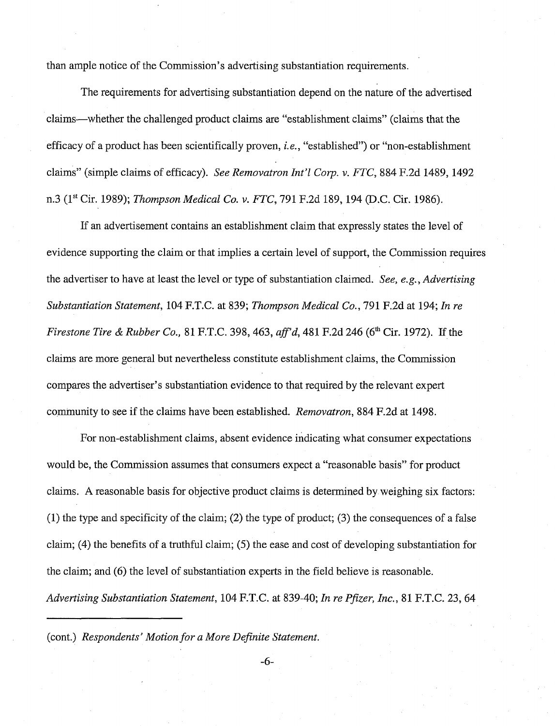than ample notice of the Commission's advertising substantiation requirements.

The requirements for advertising substantiation depend on the nature of the advertised claims-whether the challenged product claims are "establishment claims" (claims that the efficacy of a product has been scientifically proven, *i.e.,* "established") or "non-establishment claims" (simple claims of efficacy). *See Removatron Int'l Corp. v. FTC*, 884 F.2d 1489, 1492 n.3 (1" Cir. 1989); *Thompson Medical Co. v. FTC,* 791 F.2d 189,194 @.C. Cir. 1986).

If an advertisement contains an establishment claim that expressly states the level of evidence supporting the claim or that implies a certain level of support, the Commission requires the advertiser to have at least the level or type of substantiation claimed. *See, e.g., Advertising Substantiation Statement,* 104 F.T.C. at 839; *Thompson Medical Co.,* 791 F.2d at 194; *In re Firestone Tire & Rubber Co., 81 F.T.C. 398, 463, aff'd, 481 F.2d 246 (6<sup>th</sup> Cir. 1972). If the* claims are more general but nevertheless constitute establishment claims, the Commission compares the advertiser's substantiation evidence to that required by the relevant expert community to see if the claims have been established. *Removatron,* 884 F.2d at 1498.

For non-establishment claims, absent evidence indicating what consumer expectations would be, the Commission assumes that consumers expect a "reasonable basis" for product claims. A reasonable basis for objective product claims is determined by weighing six factors: (1) the type and specificity of the claim; (2) the type of product; (3) the consequences of a false claim; (4) the benefits of a truthful claim; *(5)* the ease and cost of developing substantiation for the claim; and (6) the level of substantiation experts in the field believe is reasonable. *Advertising Substantiation Statement,* 104 *F.T.C.* at 839-40; *In re Pfizer, Inc.,* 81 F.T.C. 23, 64

(cont.) *Respondents' Motion for a More Definite Statement.*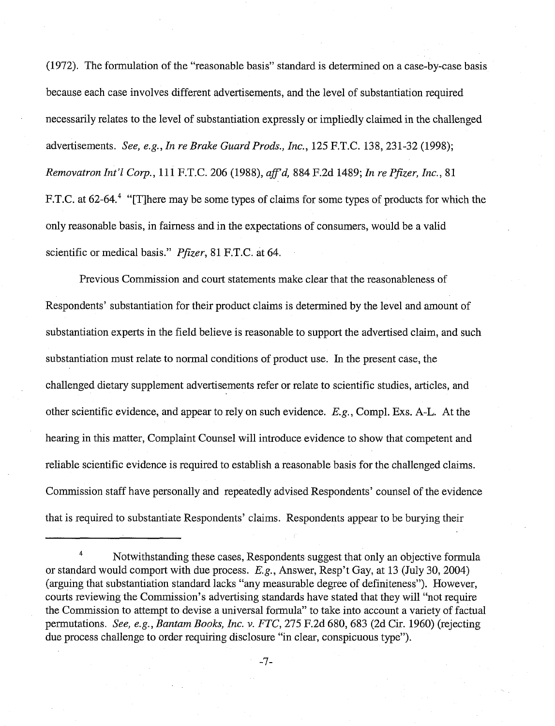(1972). The formulation of the "reasonable basis" standard is determined on a case-by-case basis because each case involves different advertisements, and the level of substantiation required necessarily relates to the level of substantiation expressly or impliedly claimed in the challenged advertisements. See, e.g., In re Brake Guard Prods., Inc., 125 F.T.C. 138,231-32 (1998); Removatron Int'l Corp., 111 F.T.C. 206 (1988), aff'd, 884 F.2d 1489; In re Pfizer, Inc., 81 F.T.C. at 62-64.<sup>4</sup> "[T] here may be some types of claims for some types of products for which the only reasonable basis, in fairness and in the expectations of consumers, would be a valid scientific or medical basis." Pfizer, 81 F.T.C. at 64.

Previous Commission and court statements make clear that the reasonableness of Respondents' substantiation for their product claims is determined by the level and amount of substantiation experts in the field believe is reasonable to support the advertised claim, and such substantiation must relate to normal conditions of product use. In the present case, the challenged dietary supplement advertisements refer or relate to scientific studies, articles, and other scientific evidence, and appear to rely on such evidence. E.g., Compl. Exs. A-L. At the hearing in this matter, Complaint Counsel will introduce evidence to show that competent and reliable scientific evidence is required to establish a reasonable basis for the challenged claims. Commission staff have personally and repeatedly advised Respondents' counsel of the evidence that is required to substantiate Respondents' claims. Respondents appear to be burying their

<sup>&</sup>lt;sup>4</sup> Notwithstanding these cases, Respondents suggest that only an objective formula or standard would comport with due process. E.g., Answer, Resp't Gay, at 13 (July 30,2004) (arguing that substantiation standard lacks "any measurable degree of definiteness"). However, courts reviewing the Commission's advertising standards have stated that they will "not require the Commission to attempt to devise a universal formula" to take into account a variety of factual permutations. See, e.g., Bantam Books, Inc. v. FTC, 275 F.2d 680, 683 (2d Cir. 1960) (rejecting due process challenge to order requiring disclosure "in clear, conspicuous type").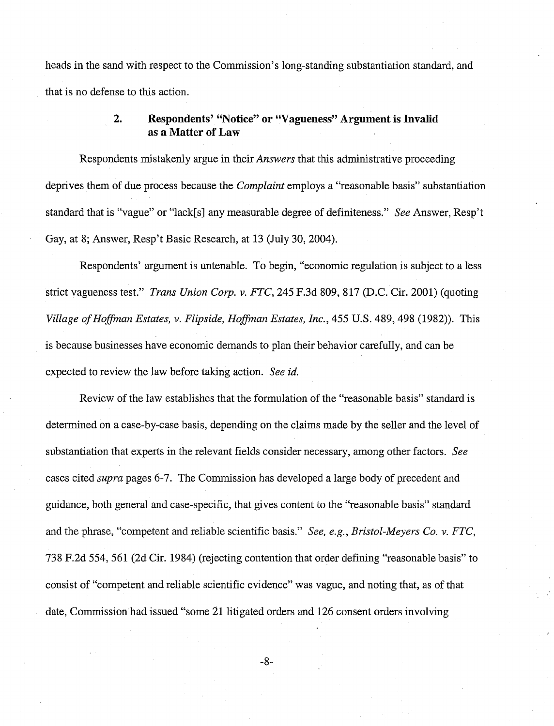heads in the sand with respect to the Commission's long-standing substantiation standard, and that is no defense to this action.

## **2. Respondents' "Notice" or "Vagueness" Argument is Invalid as a Matter of Law**

Respondents mistakenly argue in their *Answers* that this administrative proceeding deprives them of due process because the *Complaint* employs a "reasonable basis" substantiation standard that is "vague" or "lack[s] any measurable degree of definiteness." See Answer, Resp't Gay, at 8; Answer, Resp't Basic Research, at 13 (July 30,2004).

Respondents' argument is untenable. To begin, "economic regulation is subject to a less strict vagueness test." *Trans Union Corp. v. FTC*, 245 F.3d 809, 817 (D.C. Cir. 2001) (quoting Village of Hoffman Estates, v. Flipside, Hoffman Estates, Inc., 455 U.S. 489, 498 (1982)). This is because businesses have economic demands to plan their behavior carefully, and can be expected to review the law before taking action. See id.

Review of the law establishes that the formulation of the "reasonable basis" standard is determined on a case-by-case basis, depending on the claims made by the seller and the level of substantiation that experts in the relevant fields consider necessary, among other factors. See cases cited supra pages 6-7. The Commission has developed a large body of precedent and guidance, both general and case-specific, that gives content to the "reasonable basis" standard and the phrase, "competent and reliable scientific basis." See, e.g., Bristol-Meyers Co. v. FTC, 738 F.2d 554, 561 (2d Cir. 1984) (rejecting contention that order defining "reasonable basis" to consist of "competent and reliable scientific evidence" was vague, and noting that, as of that date, Commission had issued "some 21 litigated orders and 126 consent orders involving

 $-8-$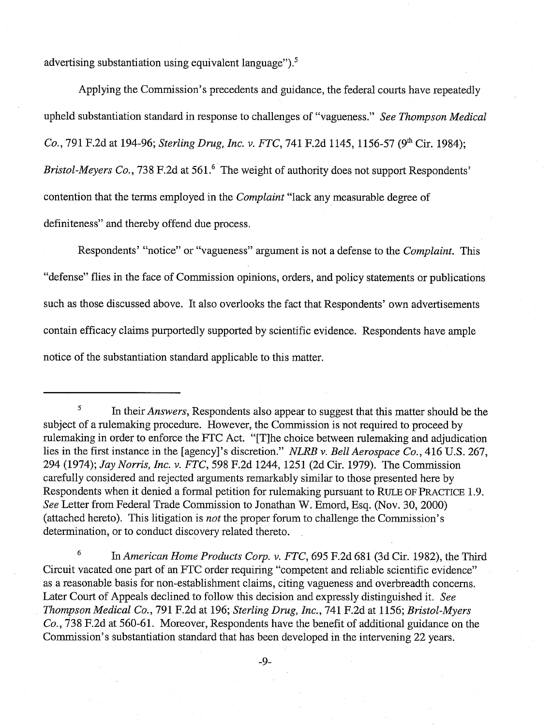advertising substantiation using equivalent language"). $5$ 

Applying the Commission's precedents and guidance, the federal courts have repeatedly upheld substantiation standard in response to challenges of "vagueness." See Thompson Medical Co., 791 F.2d at 194-96; Sterling Drug, Inc. v. FTC, 741 F.2d 1145, 1156-57 (9<sup>th</sup> Cir. 1984); Bristol-Meyers Co., 738 F.2d at 561. $^6$  The weight of authority does not support Respondents' contention that the terms employed in the Complaint "lack any measurable degree of definiteness" and thereby offend due process.

Respondents' "notice" or "vagueness" argument is not a defense to the Complaint. This "defense" flies in the face of Commission opinions, orders, and policy statements or publications such as those discussed above. It also overlooks the fact that Respondents' own advertisements contain efficacy claims purportedly supported by scientific evidence. Respondents have ample notice of the substantiation standard applicable to this matter.

<sup>6</sup> In American Home Products Corp. v. FTC, 695 F.2d 681 (3d Cir. 1982), the Third Circuit vacated one part of an FTC order requiring "competent and reliable scientific evidence" as a reasonable basis for non-establishment claims, citing vagueness and overbreadth concerns. Later Court of Appeals declined to follow this decision and expressly distinguished it. See Thompson Medical Co., 791 F.2d at 196; Sterling Drug, Inc., 741 F.2d at 1156; Bristol-Myers Co., 738 F.2d at 560-61. Moreover, Respondents have the benefit of additional guidance on the Commission's substantiation standard that has been developed in the intervening 22 years.

 $\frac{5}{10}$  In their *Answers*, Respondents also appear to suggest that this matter should be the subject of a rulemaking procedure. However, the Commission is not required to proceed by rulemaking in order to enforce the FTC Act. "[Tlhe choice between rulemaking and adjudication lies in the first instance in the [agency]'s discretion." NLRB v. Bell Aerospace Co., 416 U.S. 267, 294 (1974); Jay Norris, Inc. v. FTC, 598 F.2d 1244, 1251 (2d Cir. 1979). The Commission carefully considered and rejected arguments remarkably similar to those presented here by Respondents when it denied a formal petition for rulemaking pursuant to RULE OF PRACTICE 1.9. See Letter from Federal Trade Commission to Jonathan W. Emord, Esq. (Nov. 30,2000) (attached hereto). This litigation is not the proper forum to challenge the Commission's determination, or to conduct discovery related thereto.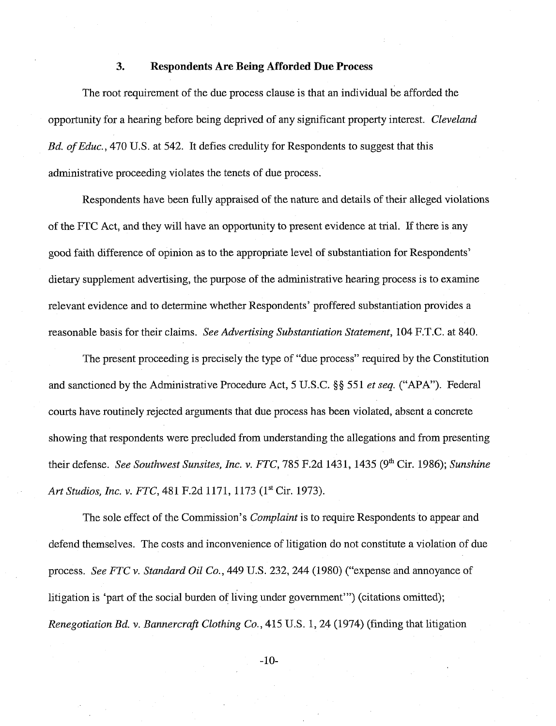#### **3. Respondents Are Being Afforded Due Process**

The root requirement of the due process clause is that an individual be afforded the opportunity for a hearing before being deprived of any significant property interest. Cleveland Bd. of Educ., 470 U.S. at 542. It defies credulity for Respondents to suggest that this administrative proceeding violates the tenets of due process.

Respondents have been fully appraised of the nature and details of their alleged violations of the FTC Act, and they will have an opportunity to present evidence at trial. If there is any good faith difference of opinion as to the appropriate level of substantiation for Respondents' dietary supplement advertising, the purpose of the administrative hearing process is to examine relevant evidence and to deterrnine whether Respondents' proffered substantiation provides a reasonable basis for their claims. See Advertising Substantiation Statement, 104 F.T.C. at 840.

The present proceeding is precisely the type of "due process" required by the Constitution and sanctioned by the Administrative Procedure Act, 5 U.S.C. *\$5* 551 et seq. ("APA"). Federal courts have routinely rejected arguments that due process has been violated, absent a concrete showing that respondents were precluded from understanding the allegations and from presenting their defense. See Southwest Sunsites, Inc. v. FTC, 785 F.2d 1431, 1435 (9<sup>th</sup> Cir. 1986); Sunshine *Art* Studios, *Inc.* v. FTC, 481 F.2d 1171, 1173 (1" Cir. 1973).

The sole effect of the Commission's *Complaint* is to require Respondents to appear and defend themselves. The costs and inconvenience of litigation do not constitute a violation of due process. See FTC v. Standard Oil Co., 449 U.S. 232, 244 (1980) ("expense and annoyance of litigation is 'part of the social burden of living under government"') (citations omitted); Renegotiation Bd. v. Bannercraft Clothing Co., 415 U.S. 1,24 (1974) (finding that litigation

 $-10-$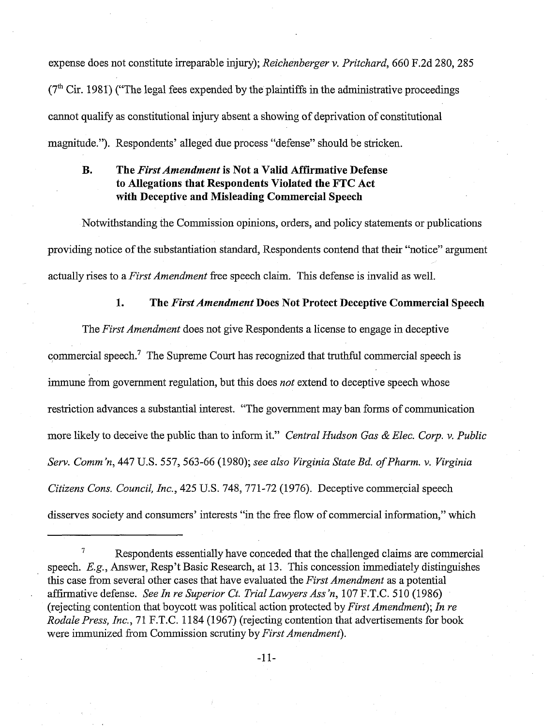expense does not constitute irreparable injury); Reichenberger v. Pritchard, 660 F.2d 280, 285  $(7<sup>th</sup> Cir. 1981)$  ("The legal fees expended by the plaintiffs in the administrative proceedings cannot qualify as constitutional injury absent a showing of deprivation of constitutional magnitude."). Respondents' alleged due process "defense" should be stricken.

# **B. The** *First Anzeizdmeizt* **is Not a Valid Affirmative Defense to Allegations that Respondents Violated the FTC Act with Deceptive and Misleading Commercial Speech**

Notwithstanding the Commission opinions, orders, and policy statements or publications providing notice of the substantiation standard, Respondents contend that their "notice" argument actually rises to a *First Amendment* free speech claim. This defense is invalid as well.

#### **1. The First Amendment Does Not Protect Deceptive Commercial Speech**

The First Amendment does not give Respondents a license to engage in deceptive commercial speech.<sup>7</sup> The Supreme Court has recognized that truthful commercial speech is immune from government regulation, but this does *not* extend to deceptive speech whose restriction advances a substantial interest. "The government may ban forms of communication more likely to deceive the public than to inform it." Central Hudson Gas & Elec. Corp. v. Public Serv. Comm'n, 447 U.S. 557, 563-66 (1980); see also Virginia State Bd. of Pharm. v. Virginia Citizens Cons. Council, Inc., 425 U.S. 748, 771-72 (1976). Deceptive commercial speech disserves society and consumers' interests "in the fiee flow of commercial infomation," which

 $7$  Respondents essentially have conceded that the challenged claims are commercial speech. E.g., Answer, Resp't Basic Research, at 13. This concession immediately distinguishes this case fiom several other cases that have evaluated the First Amendment as a potential affirmative defense. See In re Superior Ct. Trial Lawyers Ass'n, 107 F.T.C. 510 (1986) (rejecting contention that boycott was political action protected by First Amendment); In re Rodale Press, Inc., 71 F.T.C. 1184 (1967) (rejecting contention that advertisements for book were immunized from Commission scrutiny by *First Amendment*).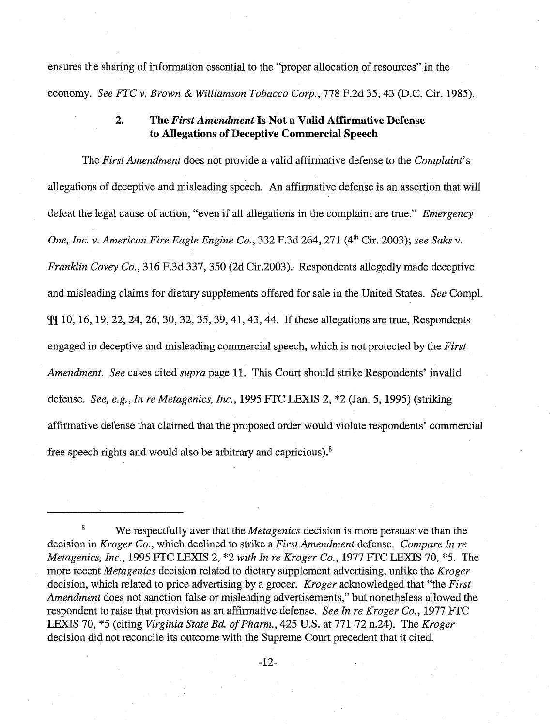ensures the sharing of information essential to the "proper allocation of resources" in the economy. See FTC v. Brown & Williamson Tobacco Corp., 778 F.2d 35, 43 (D.C. Cir. 1985).

# **2. The First** *Amendment* **Is Not a Valid Affirmative Defense to Allegations of Deceptive Commercial Speech**

The First Amendment does not provide a valid affirmative defense to the Complaint's allegations of deceptive and misleading speech. An affirmative defense is an assertion that will defeat the legal cause of action, "even if all allegations in the complaint are true." *Emergency* One, Inc. **v.** American Fire Eagle Engine Co., 332 F.3d 264, 271 (4" Cir. 2003); see Saks v. Franklin Covey Co., 3 16 F.3d 337,350 (2d Cir.2003). Respondents allegedly made deceptive and misleading claims for dietary supplements offered for sale in the United States. See Compl. g[m lo, 16, 19,22,24,26,30, 32, 35,39,41,43,44. If these allegations are true, Respondents engaged in deceptive and misleading commercial speech, which is not protected by the *First* Amendment. See cases cited supra page 11. This Court should strike Respondents' invalid defense. See, e.g., In re Metagenics, Inc., 1995 FTC LEXIS 2,  $*2$  (Jan. 5, 1995) (striking affirmative defense that claimed that the proposed order would violate respondents' commercial free speech rights and would also be arbitrary and capricious). $8$ 

We respectfully aver that the *Metagenics* decision is more persuasive than the decision in Kroger Co., which declined to strike a First Amendment defense. Compare In re Metagenics, Inc., 1995 FTC LEXIS 2, "2 with In re Kroger Co., 1977 FTC LEXIS 70, *"5.* The more recent *Metagenics* decision related to dietary supplement advertising, unlike the *Kroger* decision, which related to price advertising by a grocer. *Kroger* acknowledged that "the First Amendment does not sanction false or misleading advertisements," but nonetheless allowed the respondent to raise that provision as an affirmative defense. See In re Kroger Co., 1977 FTC LEXIS 70, \*5 (citing Virginia State Bd. of Pharm., 425 U.S. at 771-72 n.24). The Kroger decision did not reconcile its outcome with the Supreme Court precedent that it cited.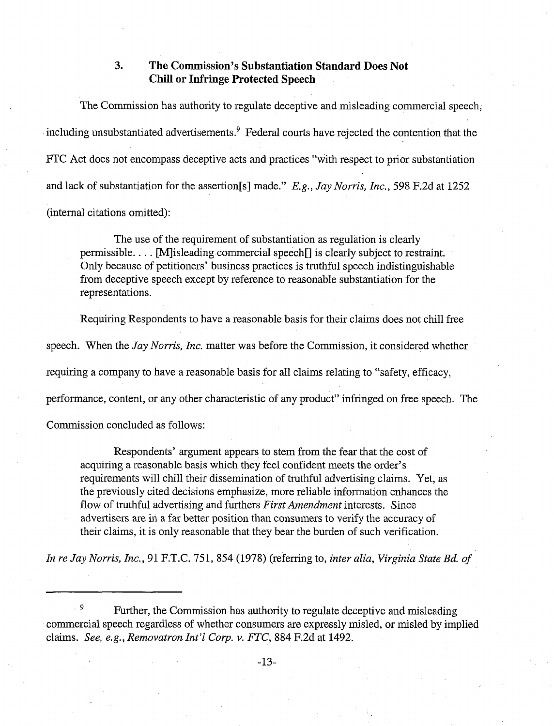### **3. The Commission's Substantiation Standard Does Not Chill or Infringe Protected Speech**

The Commission has authority to regulate deceptive and misleading commercial speech, including unsubstantiated advertisements.<sup>9</sup> Federal courts have rejected the contention that the FTC Act does not encompass deceptive acts and practices "with respect to prior substantiation and lack of substantiation for the assertion[s] made." *E.g.,* Jay Norris, Inc., 598 F.2d at 1252 (internal citations omitted):

The use of the requirement of substantiation as regulation is clearly permissible. . . . [Mlisleading commercial speech[] is clearly subject to restraint. Only because of petitioners' business practices is truthful speech indistinguishable from deceptive speech except by reference to reasonable substantiation for the representations.

Requiring Respondents to have a reasonable basis for their claims does not chill free speech. When the Jay Norris, Inc. matter was before the Commission, it considered whether requiring a company to have a reasonable basis for all claims relating to "safety, efficacy, performance, content, or any other characteristic of any product" infringed on free speech. The

Commission concluded as follows:

Respondents' argument appears to stem from the fear that the cost of acquiring a reasonable basis which they feel confident meets the order's requirements will chill their dissemination of truthful advertising claims. Yet, as the previously cited decisions emphasize, more reliable information enhances the flow of truthful advertising and furthers First Amendment interests. Since advertisers are in a far better position than consumers to verify the accuracy of their claims, it is only reasonable that they bear the burden of such verification.

In re Jay Norris, Inc., 91 F.T.C. 751, 854 (1978) (referring to, inter alia, Virginia State Bd. of

 $\frac{9}{5}$  Further, the Commission has authority to regulate deceptive and misleading commercial speech regardless of whether consumers are expressly misled, or misled by implied claims. See, e.g., Removatron Int'l Corp. v. FTC, 884 F.2d at 1492.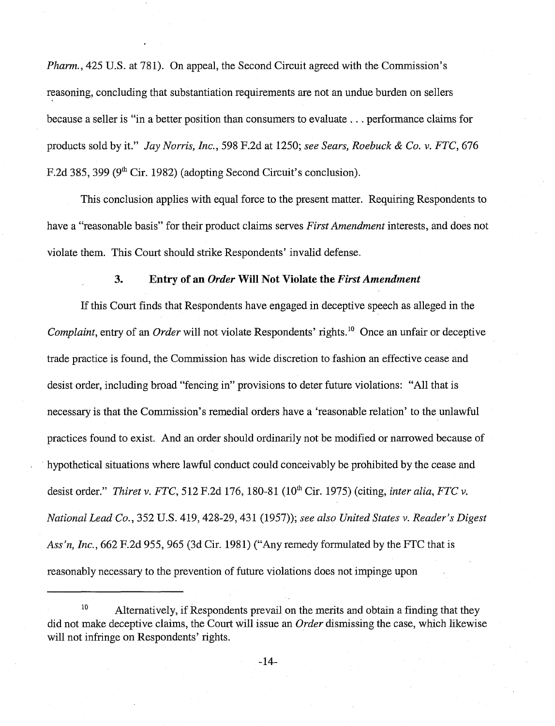Pharm., 425 U.S. at 781). On appeal, the Second Circuit agreed with the Commission's reasoning, concluding that substantiation requirements are not an undue burden on sellers because a seller is "in a better position than consumers to evaluate . . . performance claims for products sold by it." Jay Norris, Inc., 598 F.2d at 1250; see Sears, Roebuck & Co. v. FTC, 676 F.2d 385, 399 ( $9<sup>th</sup>$  Cir. 1982) (adopting Second Circuit's conclusion).

This conclusion applies with equal force to the present matter. Requiring Respondents to have a "reasonable basis" for their product claims serves *First Amendment* interests, and does not violate them. This Court should strike Respondents' invalid defense.

#### **3. Entry of an** *Order* **Will Not Violate the** *First Amendment*

If this Court finds that Respondents have engaged in deceptive speech as alleged in the Complaint, entry of an *Order* will not violate Respondents' rights.<sup>10</sup> Once an unfair or deceptive trade practice is found, the Commission has wide discretion to fashion an effective cease and desist order, including broad "fencing in" provisions to deter future violations: "All that is necessary is that the Commission's remedial orders have a 'reasonable relation' to the unlawful practices found to exist. And an order should ordinarily not be modified or narrowed because of . hypothetical situations where lawful conduct could conceivably be prohibited by the cease and desist order." Thiret v. FTC, 512 F.2d 176, 180-81 (10<sup>th</sup> Cir. 1975) (citing, inter alia, FTC v. National Lead Co., 352 U.S. 419, 428-29, 431 (1957)); see also United States v. Reader's Digest Ass'n, Inc.,  $662$  F.2d 955, 965 (3d Cir. 1981) ("Any remedy formulated by the FTC that is reasonably necessary to the prevention of future violations does not impinge upon

 $^{10}$  Alternatively, if Respondents prevail on the merits and obtain a finding that they did not make deceptive claims, the Court will issue an Order dismissing the case, which likewise will not infringe on Respondents' rights.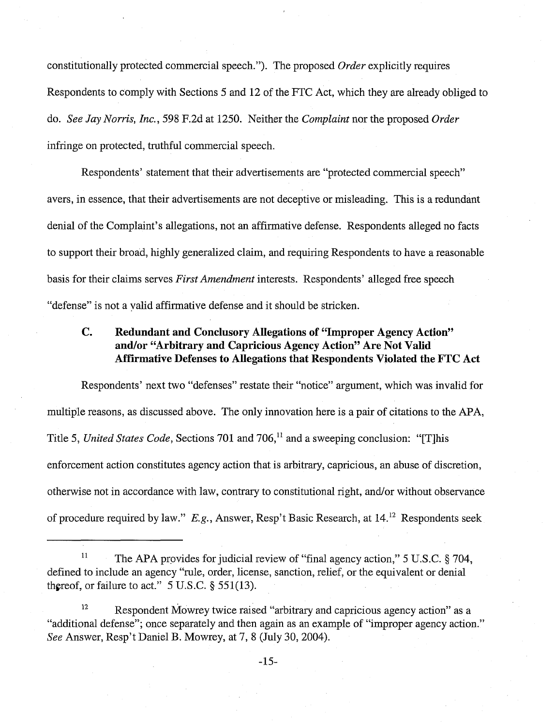constitutionally protected commercial speech."). The proposed  $Order$  explicitly requires Respondents to comply with Sections 5 and 12 of the FTC Act, which they are already obliged to do. See Jay Norris, Inc., 598 F.2d at 1250. Neither the Complaint nor the proposed Order infringe on protected, truthful commercial speech.

Respondents' statement that their advertisements are "protected commercial speech" avers, in essence, that their advertisements are not deceptive or misleading. This is a redundant denial of the Complaint's allegations, not an affirmative defense. Respondents alleged no facts to support their broad, highly generalized claim, and requiring Respondents to have a reasonable basis for their claims serves First Amendment interests. Respondents' alleged free speech "defense" is not a valid affirmative defense and it should be stricken.

# **C. Redundant and Conclusory Allegations of "Improper Agency Action"**  and/or "Arbitrary and Capricious Agency Action" Are Not Valid **Affirmative Defenses to Allegations that Respondents Violated the FTC Act**

Respondents' next two "defenses" restate their "notice" argument, which was invalid for multiple reasons, as discussed above. The only innovation here is a pair of citations to the APA, Title 5, United States Code, Sections 701 and 706,<sup>11</sup> and a sweeping conclusion: "[T]his enforcement action constitutes agency action that is arbitrary, capricious, an abuse of discretion, otherwise not in accordance with law, contrary to constitutional right, and/or without observance of procedure required by law." E.g., Answer, Resp't Basic Research, at 14.<sup>12</sup> Respondents seek

l1 The APA provides for judicial review of "final agency action," 5 U.S.C. **3** 704, defined to include an agency "rule, order, license, sanction, relief, or the equivalent or denial thereof, or failure to act." 5 U.S.C. *5* 551(13).

<sup>&</sup>lt;sup>12</sup> Respondent Mowrey twice raised "arbitrary and capricious agency action" as a "additional defense"; once separately and then again as an example of "improper agency action." See Answer, Resp't Daniel B. Mowrey, at 7, 8 (July 30, 2004).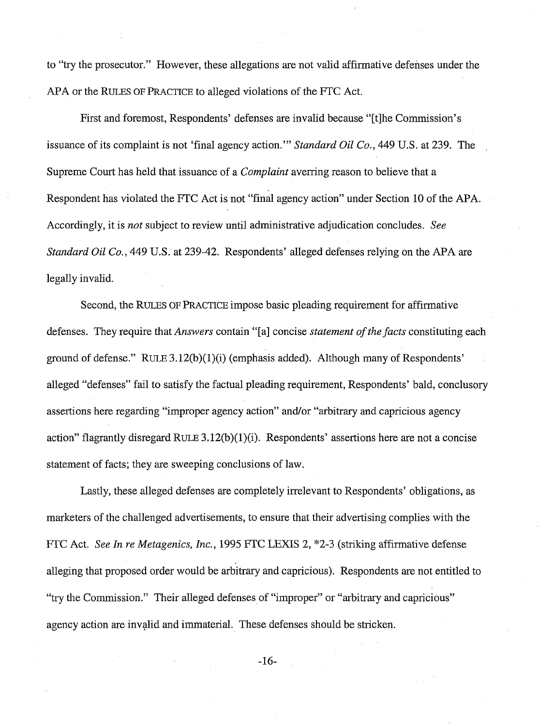to "try the prosecutor." However, these allegations are not valid affirmative defenses under the APA or the RULES OF PRACTICE to alleged violations of the FTC Act.

First and foremost, Respondents' defenses are invalid because "[tlhe Commission's issuance of its complaint is not 'final agency action."' *Standard Oil* Co., 449 U.S. at 239. The Supreme Court has held that issuance of a *Complaint* averring reason to believe that a Respondent has violated the FTC Act is not "final agency action" under Section 10 of the APA. Accordingly, it is *not* subject to review until administrative adjudication concludes. *See Standard Oil Co.*, 449 U.S. at 239-42. Respondents' alleged defenses relying on the APA are legally invalid.

Second, the RULES OF PRACTICE impose basic pleading requirement for affirmative defenses. They require that *Answers* contain "[a] concise *statement of the facts* constituting each ground of defense."  $RULE 3.12(b)(1)(i)$  (emphasis added). Although many of Respondents' alleged "defenses" fail to satisfy the factual pleading requirement, Respondents' bald, conclusory assertions here regarding "improper agency action" and/or "arbitrary and capricious agency action" flagrantly disregard RULE  $3.12(b)(1)(i)$ . Respondents' assertions here are not a concise statement of facts; they are sweeping conclusions of law.

Lastly, these alleged defenses are completely irrelevant to Respondents' obligations, as marketers of the challenged advertisements, to ensure that their advertising complies with the FTC Act. *See* In *re Metagenics,* Inc., 1995 FTC LEXIS 2, "2-3 (striking affirmative defense alleging that proposed order would be arbitrary and capricious). Respondents are not entitled to "try the Commission." Their alleged defenses of "improper" or "arbitrary and capricious" agency action are invalid and immaterial. These defenses should be stricken.

 $-16-$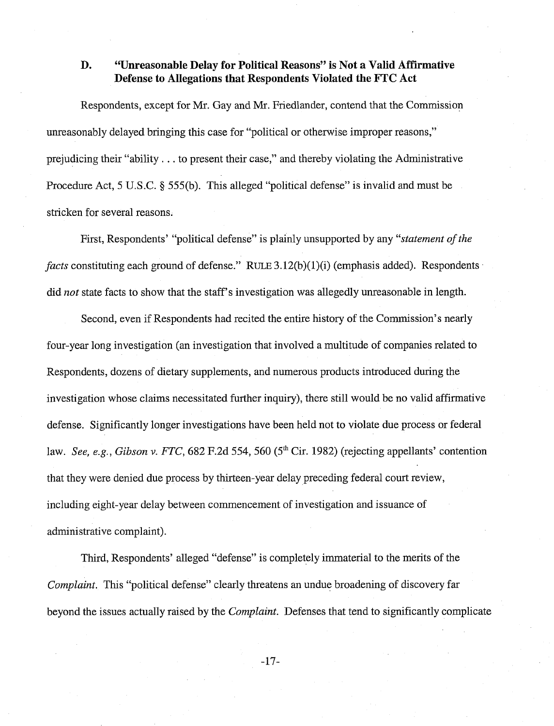## **D.** *CONSET <b>CONTER* **CONSET EXECUTE: CONSET EXECUTE: CONSET EXECUTE: CONSET EXECUTE: CONSET EXECUTE: CONSET EXECUTE: CONSET EXECUTE: CONSET EXECUTE: CONSET EXECUTE: CONSET EXECUTE: CONSET EXECUTE: Defense to Allegations that Respondents Violated the FTC Act**

Respondents, except for Mr. Gay and Mr. Friedlander, contend that the Commission unreasonably delayed bringing this case for "political or otherwise improper reasons," prejudicing their "ability . . . to present their case," and thereby violating the Administrative Procedure Act, 5 U.S.C. **3** 555(b). This alleged "political defense" is invalid and must be stricken for several reasons.

First, Respondents' "political defense" is plainly unsupported by any *"statement of the facts* constituting each ground of defense." RULE 3.12(b)(1)(i) (emphasis added). Respondents did *not* state facts to show that the staff's investigation was allegedly unreasonable in length.

Second, even if Respondents had recited the entire history of the Commission's nearly four-year long investigation (an investigation that involved a multitude of companies related to Respondents, dozens of dietary supplements, and numerous products introduced during the investigation whose claims necessitated further inquiry), there still would be no valid affirmative defense. Sigmficantly longer investigations have been held not to violate due process or federal law. *See, e.g., Gibson v. FTC,* 682 F.2d 554, 560 (5<sup>th</sup> Cir. 1982) (rejecting appellants' contention that they were denied due process by thirteen-year delay preceding federal court review, including eight-year delay between commencement of investigation and issuance of administrative complaint).

Third, Respondents' alleged "defense" is completely immaterial to the merits of the *Complaint.* This "political defense" clearly threatens an undue broadening of discovery far beyond the issues actually raised by the *Complaint.* Defenses that tend to significantly complicate

 $-17-$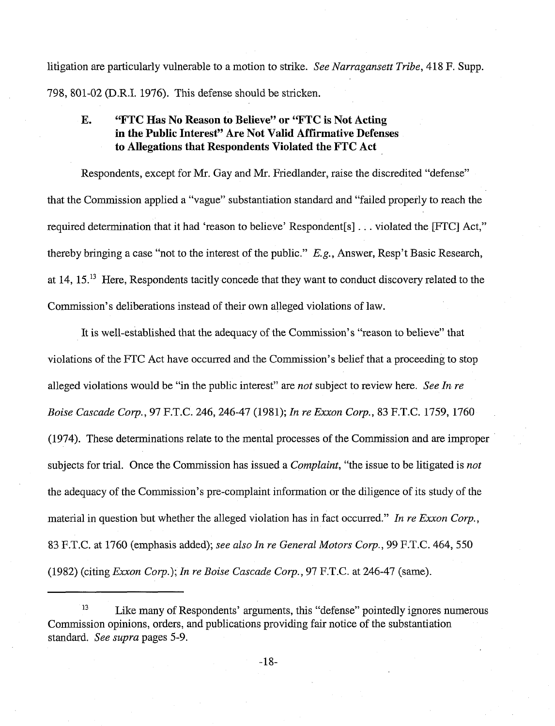litigation are particularly vulnerable to a motion to strike. See Narragansett Tribe, 418 F. Supp. 798, 801-02 (D.R.I. 1976). This defense should be stricken.

# **E. "FTC Has No Reason to Believe" or "FTC is Not Acting in the Public Interest" Are Not Valid Affirmative Defenses to Allegations that Respondents Violated the FTC Act**

Respondents, except for Mr. Gay and Mr. Friedlander, raise the discredited "defense" that the Commission applied a "vague" substantiation standard and "failed properly to reach the required determination that it had 'reason to believe' Respondent [s]  $\ldots$  violated the [FTC] Act," thereby bringing a case "not to the interest of the public." E.g., Answer, Resp't Basic Research, at 14, 15.13 Here, Respondents tacitly concede that they want to conduct discovery related to the Commission's deliberations instead of their own alleged violations of law.

It is well-established that the adequacy of the Commission's "reason to believe" that violations of the FTC Act have occurred and the Commission's belief that a proceeding to stop alleged violations would be "in the public interest" are not subject to review here. See In re Boise Cascade Corp., 97 F.T.C. 246,246-47 (1981); In re Exxon Corp., 83 F.T.C. 1759, 1760 (1974). These determinations relate to the mental processes of the Commission and are improper subjects for trial. Once the Commission has issued a *Complaint*, "the issue to be litigated is not the adequacy of the Commission's pre-complaint information or the diligence of its study of the material in question but whether the alleged violation has in fact occurred." In re Exxon Corp., 83 F.T.C. at 1760 (emphasis added); see also In re General Motors Corp., 99 F.T.C. 464, 550 (1982) (citing Exxon Corp.); In re Boise Cascade Corp., 97 F.T.C. at 246-47 (same).

<sup>&</sup>lt;sup>13</sup> Like many of Respondents' arguments, this "defense" pointedly ignores numerous Commission opinions, orders, and publications providmg fair notice of the substantiation standard. See supra pages 5-9.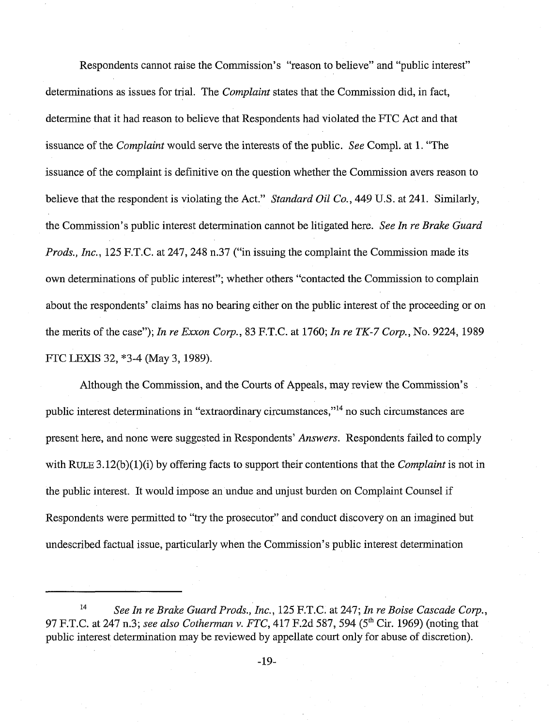Respondents cannot raise the Commission's "reason to believe" and "public interest" determinations as issues for trial. The *Complaint* states that the Commission did, in fact, determine that it had reason to believe that Respondents had violated the FTC Act and that issuance of the Complaint would serve the interests of the public. See Compl. at 1. "The issuance of the complaint is definitive on the question whether the Commission avers reason to believe that the respondent is violating the Act." Standard Oil Co., 449 U.S. at 241. Similarly, the Commission's public interest determination cannot be litigated here. See In re Brake Guard Prods., Inc., 125 F.T.C. at 247, 248 n.37 ("in issuing the complaint the Commission made its own determinations of public interest"; whether others "contacted the Commission to complain about the respondents' claims has no bearing either on the public interest of the proceeding or on the merits of the case"); In re Exxon Corp., 83 F.T.C. at 1760; In re TK-7 Corp., No. 9224, 1989 FTC LEXIS 32, \*3-4 (May 3, 1989).

Although the Commission, and the Courts of Appeals, may review the Commission's public interest determinations in "extraordinary circumstances,"<sup>14</sup> no such circumstances are present here, and none were suggested in Respondents' Answers. Respondents failed to comply with RULE 3.12(b)(1)(i) by offering facts to support their contentions that the *Complaint* is not in the public interest. It would impose an undue and unjust burden on Complaint Counsel if Respondents were permitted to "try the prosecutor" and conduct discovery on an imagined but undescribed factual issue, particularly when the Commission's public interest determination

**l4** See In re Brake Guard Prods., Inc., 125 F.T.C. at 247; In re Boise Cascade Corp., 97 F.T.C. at 247 n.3; see also Cotherman v. FTC, 417 F.2d 587, 594 (5<sup>th</sup> Cir. 1969) (noting that public interest determination may be reviewed by appellate court only for abuse of discretion).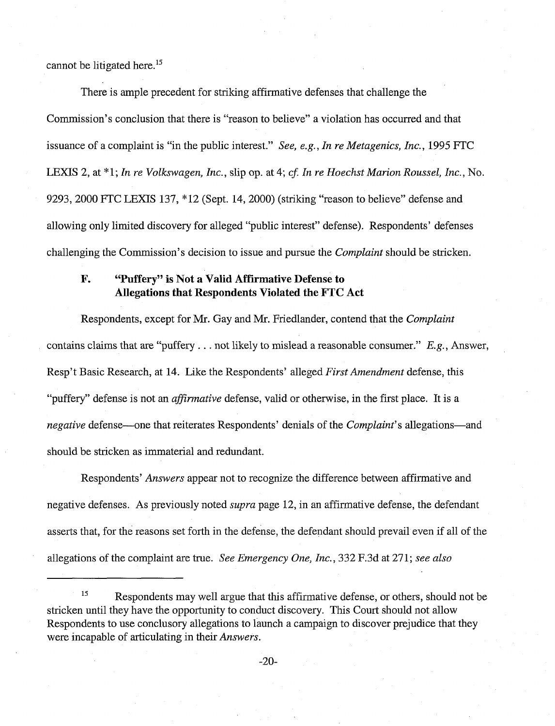cannot be litigated here.<sup>15</sup>

There is ample precedent for striking affirmative defenses that challenge the Commission's conclusion that there is "reason to believe" a violation has occurred and that issuance of a complaint is "in the public interest." See, e.g., In re Metagenics, Inc., 1995 FTC LEXIS 2, at \*1; In re Volkswagen, Inc., slip op. at 4; cf. In re Hoechst Marion Roussel, Inc., No. 9293,2000 FTC LEXIS 137, "12 (Sept. 14,2000) (striking "reason to believe" defense and allowing only limited discovery for alleged "public interest" defense). Respondents' defenses challenging the Commission's decision to issue and pursue the *Complaint* should be stricken.

# **F. 'Tuffery" is Not a Valid Affirmative Defense to Allegations that Respondents Violated the FTC Act**

Respondents, except for Mr. Gay and Mr. Friedlander, contend that the Complaint contains claims that are "puffery . . . not likely to mislead a reasonable consumer." E.g., Answer, Resp't Basic Research, at 14. Like the Respondents' alleged First Amendment defense, this "puffery" defense is not an *affirmative* defense, valid or otherwise, in the first place. It is a negative defense—one that reiterates Respondents' denials of the *Complaint's* allegations—and should be stricken as immaterial and redundant.

Respondents' Answers appear not to recognize the difference between affirmative and negative defenses. As previously noted *supra* page 12, in an affirmative defense, the defendant asserts that, for the reasons set forth in the defense, the defendant should prevail even if all of the allegations of the complaint are true. See Emergency One, Inc., 332 F.3d at 271; see also

<sup>&</sup>lt;sup>15</sup> Respondents may well argue that this affirmative defense, or others, should not be stricken until they have the opportunity to conduct discovery. This Court should not allow Respondents to use conclusory allegations to launch a campaign to discover prejudice that they were incapable of articulating in their Answers.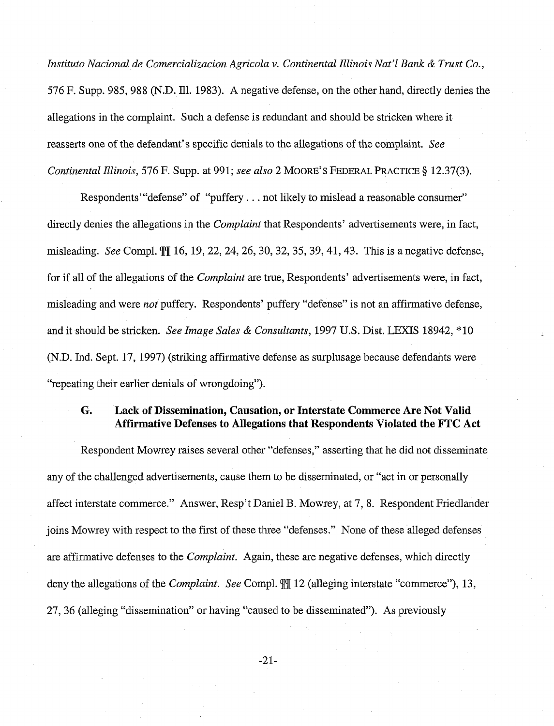Instituto Nacional de Comercializacion Agricola v. Continental Illinois Nat'l Bank & Trust Co., 576 F. Supp. 985,988 (N.D. Ill. 1983). A negative defense, on the other hand, directly denies the allegations in the complaint. Such a defense is redundant and should be stricken where it reasserts one of the defendant's specific denials to the allegations of the complaint. See Continental Illinois, 576 F. Supp. at 991; see also 2 MOORE'S FEDERAL PRACTICE *5* 12.37(3).

Respondents' "defense" of "puffery . . . not likely to mislead a reasonable consumer" directly denies the allegations in the *Complaint* that Respondents' advertisements were, in fact, misleading. See Compl. **q[q[** 16, 19,22, 24, 26,30, 32, 35, 39,41,43. This is a negative defense, for if all of the allegations of the Complaint are true, Respondents' advertisements were, in fact, misleading and were *not* puffery. Respondents' puffery "defense" is not an affirmative defense, and it should be stricken. See Image Sales & Consultants, 1997 U.S. Dist. LEXIS 18942, "10 (N.D. Ind. Sept. 17, 1997) (striking affirmative defense as surplusage because defendants were "repeating their earlier denials of wrongdoing").

### *G.* **Lack of Dissemination, Causation, or Interstate Commerce Are Not Valid Affirmative Defenses to Allegations that Respondents Violated the FTC Act**

Respondent Mowrey raises several other "defenses," asserting that he did not disseminate any of the challenged advertisements, cause them to be disseminated, or "act in or personally affect interstate commerce." Answer, Resp't Daniel B. Mowrey, at 7, 8. Respondent Friedlander joins Mowrey with respect to the first of these three "defenses." None of these alleged defenses are affirmative defenses to the *Complaint*. Again, these are negative defenses, which directly deny the allegations of the Complaint. See Compl. **qlgl** 12 (alleging interstate "commerce"), 13, 27, 36 (alleging "dissemination" or having "caused to be disseminated"). As previously

 $-21-$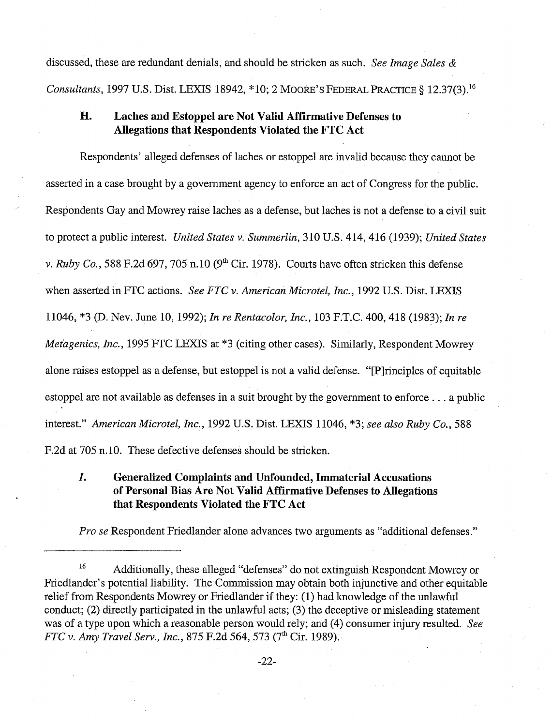discussed, these are redundant denials, and should be stricken as such. See Image Sales  $\&$ Consultants, 1997 U.S. Dist. LEXIS 18942, \*10; 2 MOORE'S FEDERAL PRACTICE § 12.37(3).<sup>16</sup>

# **H. Laches and Estoppel are Not Valid Affirmative Defenses to Allegations that Respondents Violated the PTC Act**

Respondents' alleged defenses of laches or estoppel are invalid because they cannot be asserted in a case brought by a government agency to enforce an act of Congress for the public. Respondents Gay and Mowrey raise laches as a defense, but laches is not a defense to a civil suit to protect a public interest. United States v. Summerlin, 310 U.S. 414, 416 (1939); United States v. Ruby Co., 588 F.2d 697, 705 n.10 (9<sup>th</sup> Cir. 1978). Courts have often stricken this defense when asserted in FTC actions. See FTC v. American Microtel, Inc., 1992 U.S. Dist. LEXIS 11046, "3 @. Nev. June 10, 1992); In re Rentacolor, Inc., 103 F.T.C. 400,418 (1983); In re Metagenics, Inc., 1995 FTC LEXIS at \*3 (citing other cases). Similarly, Respondent Mowrey alone raises estoppel as a defense, but estoppel is not a valid defense. "[Plrinciples of equitable estoppel are not available as defenses in a suit brought by the government to enforce . . . a public interest." American Microtel, Inc., 1992 U.S. Dist. LEXIS 11046, **"3;** see also Ruby Co., 588 F.2d at 705 n.lO. These defective defenses should be stricken.

# *I.* **Generalized Complaints and Unfounded, Immaterial Accusations of Personal Bias Are Not Valid Affirmative Defenses to Allegations that Respondents Violated the FTC Act**

Pro se Respondent Friedlander alone advances two arguments as "additional defenses."

<sup>&</sup>lt;sup>16</sup> Additionally, these alleged "defenses" do not extinguish Respondent Mowrey or Friedlander's potential liability. The Commission may obtain both injunctive and other equitable relief from Respondents Mowrey or Friedlander if they: (1) had knowledge of the unlawful conduct; (2) directly participated in the unlawful acts; (3) the deceptive or misleading statement was of a type upon which a reasonable person would rely; and (4) consumer injury resulted. See FTC v. Amy Travel Serv., Inc., 875 F.2d 564, 573 (7<sup>th</sup> Cir. 1989).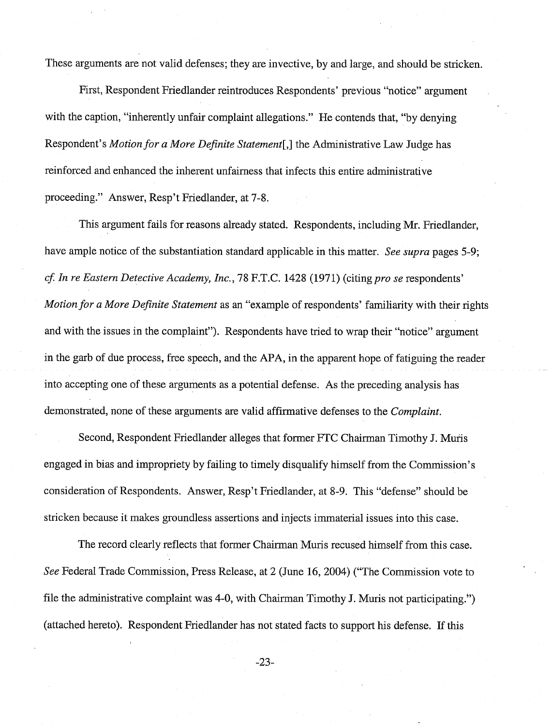These arguments are not valid defenses; they are invective, by and large, and should be stricken.

First, Respondent Friedlander reintroduces Respondents' previous "notice" argument with the caption, "inherently unfair complaint allegations." He contends that, "by denying Respondent's Motion for a More Definite Statement[,] the Administrative Law Judge has reinforced and enhanced the inherent unfairness that infects this entire administrative proceeding." Answer, Resp't Friedlander, at 7-8.

This argument fails for reasons already stated. Respondents, including Mr. Friedlander, have ample notice of the substantiation standard applicable in this matter. See supra pages 5-9; cf. In re Eastern Detective Academy, Inc., 78 F.T.C. 1428 (1971) (citing pro se respondents' Motion for a More Definite Statement as an "example of respondents' familiarity with their rights and with the issues in the complaint"). Respondents have tried to wrap their "notice" argument in the garb of due process, free speech, and the APA, in the apparent hope of fatiguing the reader into accepting one of these arguments as a potential defense. As the preceding analysis has demonstrated, none of these arguments are valid affirmative defenses to the Complaint.

Second, Respondent Friedlander alleges that former FTC Chairman Timothy J. Muris engaged in bias and impropriety by failing to timely disqualify himself from the Commission's consideration of Respondents. Answer, Resp't Friedlander, at 8-9. This "defense" should be stricken because it makes groundless assertions and injects immaterial issues into this case.

The record clearly reflects that former Chairman Muris recused himself from this case. See Federal Trade Commission, Press Release, at 2 (June 16,2004) ("The Commission vote to file the administrative complaint was 4-0, with Chairman Timothy J. Muris not participating.") (attached hereto). Respondent Friedlander has not stated facts to support his defense. If this

 $-23-$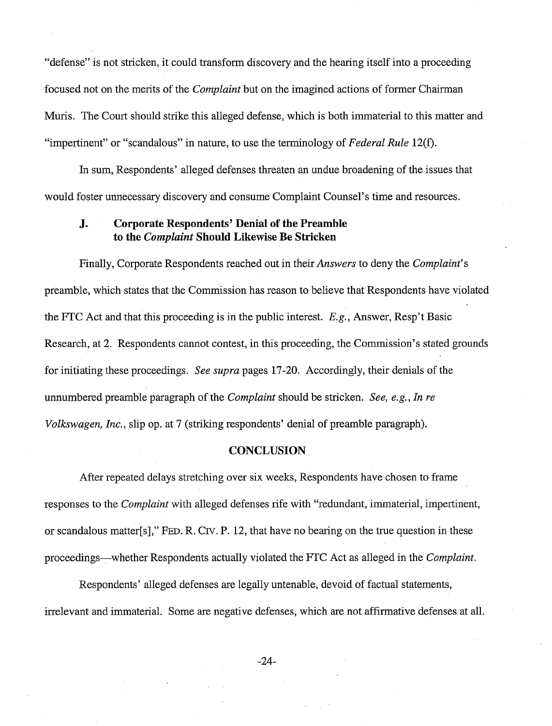"defense" is not stricken, it could transform discovery and the hearing itself into a proceeding focused not on the merits of the Complaint but on the imagined actions of former Chairman Muris. The Court should strike this alleged defense, which is both immaterial to this matter and "impertinent" or "scandalous" in nature, to use the terminology of Federal Rule 12(f).

In sum, Respondents' alleged defenses threaten an undue broadening of the issues that would foster unnecessary discovery and consume Complaint Counsel's time and resources.

### **J.** Corporate Respondents' Denial of the Preamble **to the Complaint Should Likewise Be Stricken**

Finally, Corporate Respondents reached out in their Answers to deny the Complaint's preamble, which states that the Commission has reason to believe that Respondents have violated the FTC Act and that this proceeding is in the public interest. *E.g.,* Answer, Resp't Basic Research, at 2. Respondents cannot contest, in this proceeding, the Commission's stated grounds for initiating these proceedings. See supra pages 17-20. Accordingly, their denials of the unnumbered preamble paragraph of the *Complaint* should be stricken. See, e.g., In re Volkswagen, Inc., slip op. at 7 (striking respondents' denial of preamble paragraph).

#### **CONCLUSION**

After repeated delays stretching over six weeks, Respondents have chosen to frame responses to the Complaint with alleged defenses rife with "redundant, immaterial, impertinent, or scandalous matter[s]," FED. R. CIV. P. 12, that have no bearing on the true question in these proceedings-whether Respondents actually violated the FTC Act as alleged in the Complaint.

Respondents' alleged defenses are legally untenable, devoid of factual statements, irrelevant and immaterial. Some are negative defenses, which are not affirmative defenses at all.

 $-24-$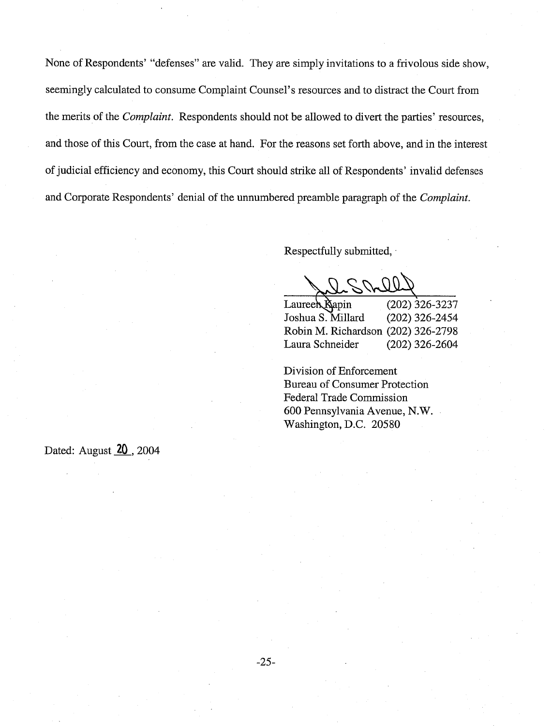None of Respondents' "defenses" are valid. They are simply invitations to a frivolous side show, seemingly calculated to consume Complaint Counsel's resources and to distract the Court from the merits of the *Complaint.* Respondents should not be allowed to divert the parties' resources, and those of this Court, from the case at hand. For the reasons set forth above, and in the interest of judicial efficiency and economy, this Court should strike all of Respondents' invalid defenses and Corporate Respondents' denial of the unnumbered preamble paragraph of the *Complaint.* 

Respectfully submitted, .

 $00$ 

 $Lauree\rightarrow\mathbb{N}$ apin (202) 326-3237 Joshua S. Millard (202) 326-2454 Robin M. Richardson (202) 326-2798 Laura Schneider (202) 326-2604

Division of Enforcement Bureau of Consumer Protection Federal Trade Commission 600 Pennsylvania Avenue, N.W. Washington, D.C. 20580

Dated: August 20, 2004